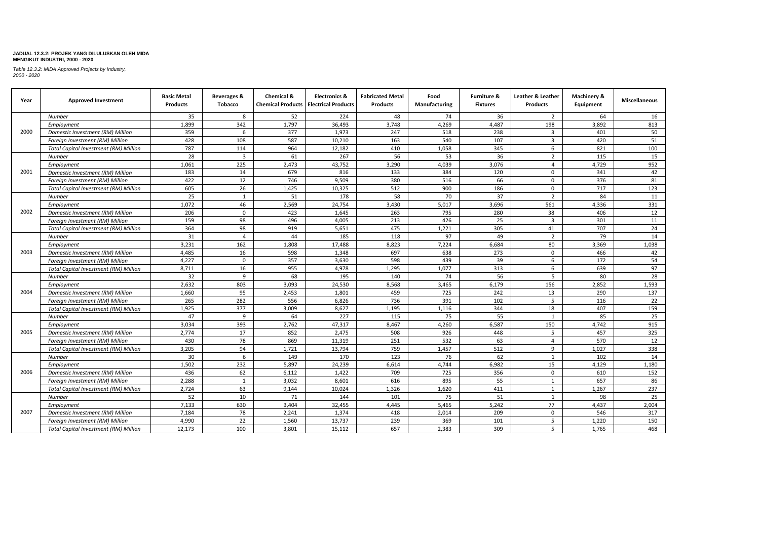| Year | <b>Approved Investment</b>                   | <b>Basic Metal</b><br><b>Products</b> | Beverages &<br>Tobacco | Chemical & | <b>Electronics &amp;</b><br><b>Chemical Products   Electrical Products</b> | <b>Fabricated Metal</b><br><b>Products</b> | Food<br>Manufacturing | <b>Furniture &amp;</b><br><b>Fixtures</b> | Leather & Leather<br>Products | Machinery &<br>Equipment | <b>Miscellaneous</b> |
|------|----------------------------------------------|---------------------------------------|------------------------|------------|----------------------------------------------------------------------------|--------------------------------------------|-----------------------|-------------------------------------------|-------------------------------|--------------------------|----------------------|
|      | Number                                       | 35                                    | 8                      | 52         | 224                                                                        | 48                                         | 74                    | 36                                        | $\overline{2}$                | 64                       | 16                   |
|      | Employment                                   | 1,899                                 | 342                    | 1,797      | 36,493                                                                     | 3,748                                      | 4,269                 | 4,487                                     | 198                           | 3,892                    | 813                  |
| 2000 | Domestic Investment (RM) Million             | 359                                   | 6                      | 377        | 1,973                                                                      | 247                                        | 518                   | 238                                       | 3                             | 401                      | 50                   |
|      | Foreign Investment (RM) Million              | 428                                   | 108                    | 587        | 10,210                                                                     | 163                                        | 540                   | 107                                       | $\overline{\mathbf{3}}$       | 420                      | 51                   |
|      | <b>Total Capital Investment (RM) Million</b> | 787                                   | 114                    | 964        | 12,182                                                                     | 410                                        | 1,058                 | 345                                       | 6                             | 821                      | 100                  |
|      | Number                                       | 28                                    | $\overline{3}$         | 61         | 267                                                                        | 56                                         | 53                    | 36                                        | $\overline{2}$                | 115                      | 15                   |
|      | Employment                                   | 1,061                                 | 225                    | 2,473      | 43,752                                                                     | 3,290                                      | 4,039                 | 3,076                                     | $\overline{a}$                | 4,729                    | 952                  |
| 2001 | Domestic Investment (RM) Million             | 183                                   | 14                     | 679        | 816                                                                        | 133                                        | 384                   | 120                                       | $\Omega$                      | 341                      | 42                   |
|      | Foreign Investment (RM) Million              | 422                                   | 12                     | 746        | 9,509                                                                      | 380                                        | 516                   | 66                                        | $\Omega$                      | 376                      | 81                   |
|      | <b>Total Capital Investment (RM) Million</b> | 605                                   | 26                     | 1,425      | 10,325                                                                     | 512                                        | 900                   | 186                                       | $\Omega$                      | 717                      | 123                  |
|      | Number                                       | 25                                    | 1                      | 51         | 178                                                                        | 58                                         | 70                    | 37                                        | $\overline{2}$                | 84                       | 11                   |
|      | Employment                                   | 1,072                                 | 46                     | 2,569      | 24,754                                                                     | 3,430                                      | 5,017                 | 3,696                                     | 561                           | 4,336                    | 331                  |
| 2002 | Domestic Investment (RM) Million             | 206                                   | $\mathbf 0$            | 423        | 1,645                                                                      | 263                                        | 795                   | 280                                       | 38                            | 406                      | 12                   |
|      | Foreign Investment (RM) Million              | 159                                   | 98                     | 496        | 4,005                                                                      | 213                                        | 426                   | 25                                        | $\overline{3}$                | 301                      | 11                   |
|      | Total Capital Investment (RM) Million        | 364                                   | 98                     | 919        | 5,651                                                                      | 475                                        | 1,221                 | 305                                       | 41                            | 707                      | 24                   |
|      | Number                                       | 31                                    | $\overline{4}$         | 44         | 185                                                                        | 118                                        | 97                    | 49                                        | $\overline{2}$                | 79                       | 14                   |
|      | Employment                                   | 3,231                                 | 162                    | 1,808      | 17,488                                                                     | 8,823                                      | 7,224                 | 6,684                                     | 80                            | 3,369                    | 1,038                |
| 2003 | Domestic Investment (RM) Million             | 4,485                                 | 16                     | 598        | 1,348                                                                      | 697                                        | 638                   | 273                                       | $\Omega$                      | 466                      | 42                   |
|      | Foreign Investment (RM) Million              | 4.227                                 | $\mathbf 0$            | 357        | 3,630                                                                      | 598                                        | 439                   | 39                                        | 6                             | 172                      | 54                   |
|      | <b>Total Capital Investment (RM) Million</b> | 8,711                                 | 16                     | 955        | 4,978                                                                      | 1,295                                      | 1,077                 | 313                                       | 6                             | 639                      | 97                   |
|      | Number                                       | 32                                    | 9                      | 68         | 195                                                                        | 140                                        | 74                    | 56                                        | 5                             | 80                       | 28                   |
|      | Employment                                   | 2,632                                 | 803                    | 3,093      | 24,530                                                                     | 8,568                                      | 3,465                 | 6,179                                     | 156                           | 2,852                    | 1,593                |
| 2004 | Domestic Investment (RM) Million             | 1,660                                 | 95                     | 2,453      | 1,801                                                                      | 459                                        | 725                   | 242                                       | 13                            | 290                      | 137                  |
|      | Foreign Investment (RM) Million              | 265                                   | 282                    | 556        | 6,826                                                                      | 736                                        | 391                   | 102                                       | 5                             | 116                      | 22                   |
|      | <b>Total Capital Investment (RM) Million</b> | 1,925                                 | 377                    | 3,009      | 8,627                                                                      | 1,195                                      | 1,116                 | 344                                       | 18                            | 407                      | 159                  |
|      | Number                                       | 47                                    | 9                      | 64         | 227                                                                        | 115                                        | 75                    | 55                                        | $\overline{1}$                | 85                       | 25                   |
|      | Employment                                   | 3,034                                 | 393                    | 2,762      | 47,317                                                                     | 8,467                                      | 4,260                 | 6,587                                     | 150                           | 4,742                    | 915                  |
| 2005 | Domestic Investment (RM) Million             | 2.774                                 | 17                     | 852        | 2,475                                                                      | 508                                        | 926                   | 448                                       | 5                             | 457                      | 325                  |
|      | Foreign Investment (RM) Million              | 430                                   | 78                     | 869        | 11,319                                                                     | 251                                        | 532                   | 63                                        | $\overline{4}$                | 570                      | 12                   |
|      | <b>Total Capital Investment (RM) Million</b> | 3,205                                 | 94                     | 1,721      | 13,794                                                                     | 759                                        | 1,457                 | 512                                       | 9                             | 1,027                    | 338                  |
|      | Number                                       | 30                                    | 6                      | 149        | 170                                                                        | 123                                        | 76                    | 62                                        | 1                             | 102                      | 14                   |
|      | Employment                                   | 1.502                                 | 232                    | 5.897      | 24,239                                                                     | 6,614                                      | 4,744                 | 6.982                                     | 15                            | 4.129                    | 1.180                |
| 2006 | Domestic Investment (RM) Million             | 436                                   | 62                     | 6,112      | 1,422                                                                      | 709                                        | 725                   | 356                                       | $\Omega$                      | 610                      | 152                  |
|      | Foreign Investment (RM) Million              | 2,288                                 | 1                      | 3,032      | 8,601                                                                      | 616                                        | 895                   | 55                                        | 1                             | 657                      | 86                   |
|      | <b>Total Capital Investment (RM) Million</b> | 2,724                                 | 63                     | 9,144      | 10,024                                                                     | 1,326                                      | 1,620                 | 411                                       | 1                             | 1,267                    | 237                  |
|      | Number                                       | 52                                    | 10                     | 71         | 144                                                                        | 101                                        | 75                    | 51                                        | 1                             | 98                       | 25                   |
|      | Employment                                   | 7,133                                 | 630                    | 3,404      | 32,455                                                                     | 4,445                                      | 5,465                 | 5,242                                     | 77                            | 4,437                    | 2,004                |
| 2007 | Domestic Investment (RM) Million             | 7,184                                 | 78                     | 2,241      | 1,374                                                                      | 418                                        | 2,014                 | 209                                       | $\Omega$                      | 546                      | 317                  |
|      | Foreign Investment (RM) Million              | 4,990                                 | 22                     | 1,560      | 13,737                                                                     | 239                                        | 369                   | 101                                       | 5                             | 1,220                    | 150                  |
|      | Total Capital Investment (RM) Million        | 12.173                                | 100                    | 3.801      | 15,112                                                                     | 657                                        | 2.383                 | 309                                       | 5                             | 1.765                    | 468                  |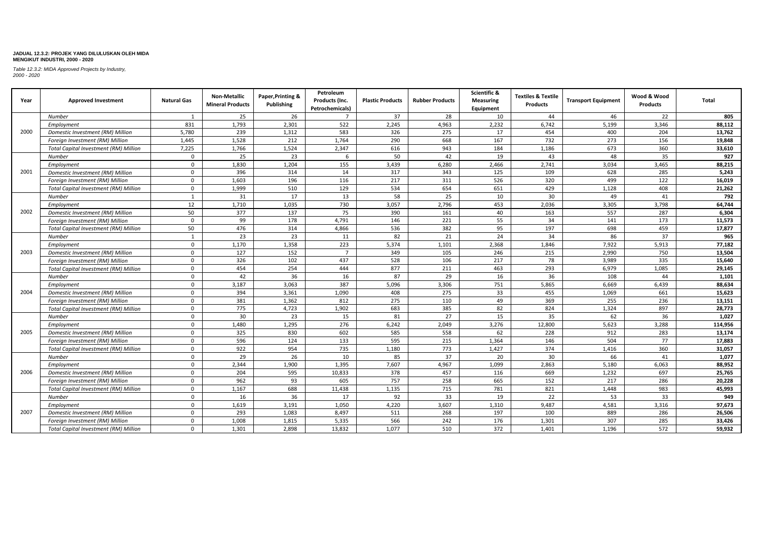| Year | <b>Approved Investment</b>                   | <b>Natural Gas</b> | Non-Metallic<br><b>Mineral Products</b> | Paper, Printing &<br>Publishing | Petroleum<br>Products (Inc.<br>Petrochemicals) | <b>Plastic Products</b> | <b>Rubber Products</b> | Scientific &<br><b>Measuring</b><br>Equipment | <b>Textiles &amp; Textile</b><br><b>Products</b> | <b>Transport Equipment</b> | Wood & Wood<br>Products | <b>Total</b> |
|------|----------------------------------------------|--------------------|-----------------------------------------|---------------------------------|------------------------------------------------|-------------------------|------------------------|-----------------------------------------------|--------------------------------------------------|----------------------------|-------------------------|--------------|
|      | Number                                       | 1                  | 25                                      | 26                              | $\overline{7}$                                 | 37                      | 28                     | 10                                            | 44                                               | 46                         | 22                      | 805          |
| 2000 | Employment                                   | 831                | 1,793                                   | 2,301                           | 522                                            | 2.245                   | 4,963                  | 2,232                                         | 6.742                                            | 5.199                      | 3,346                   | 88,112       |
|      | Domestic Investment (RM) Million             | 5,780              | 239                                     | 1,312                           | 583                                            | 326                     | 275                    | 17                                            | 454                                              | 400                        | 204                     | 13,762       |
|      | Foreign Investment (RM) Million              | 1,445              | 1,528                                   | 212                             | 1,764                                          | 290                     | 668                    | 167                                           | 732                                              | 273                        | 156                     | 19,848       |
|      | Total Capital Investment (RM) Million        | 7,225              | 1,766                                   | 1,524                           | 2,347                                          | 616                     | 943                    | 184                                           | 1,186                                            | 673                        | 360                     | 33,610       |
|      | <b>Number</b>                                | $\mathbf{0}$       | 25                                      | 23                              | 6                                              | 50                      | 42                     | 19                                            | 43                                               | 48                         | 35                      | 927          |
|      | Employment                                   | $\mathbf 0$        | 1,830                                   | 1,204                           | 155                                            | 3,439                   | 6,280                  | 2,466                                         | 2,741                                            | 3,034                      | 3,465                   | 88,215       |
| 2001 | Domestic Investment (RM) Million             | $\mathbf 0$        | 396                                     | 314                             | 14                                             | 317                     | 343                    | 125                                           | 109                                              | 628                        | 285                     | 5,243        |
|      | Foreign Investment (RM) Million              | $\mathbf{0}$       | 1,603                                   | 196                             | 116                                            | 217                     | 311                    | 526                                           | 320                                              | 499                        | 122                     | 16,019       |
|      | <b>Total Capital Investment (RM) Million</b> | $\mathbf{0}$       | 1,999                                   | 510                             | 129                                            | 534                     | 654                    | 651                                           | 429                                              | 1,128                      | 408                     | 21,262       |
|      | Number                                       | 1                  | 31                                      | 17                              | 13                                             | 58                      | 25                     | 10                                            | 30                                               | 49                         | 41                      | 792          |
|      | Employment                                   | 12                 | 1,710                                   | 1,035                           | 730                                            | 3.057                   | 2,796                  | 453                                           | 2.036                                            | 3.305                      | 3,798                   | 64,744       |
| 2002 | Domestic Investment (RM) Million             | 50                 | 377                                     | 137                             | 75                                             | 390                     | 161                    | 40                                            | 163                                              | 557                        | 287                     | 6,304        |
|      | Foreign Investment (RM) Million              | $\mathbf 0$        | 99                                      | 178                             | 4,791                                          | 146                     | 221                    | 55                                            | 34                                               | 141                        | 173                     | 11,573       |
|      | <b>Total Capital Investment (RM) Million</b> | 50                 | 476                                     | 314                             | 4,866                                          | 536                     | 382                    | 95                                            | 197                                              | 698                        | 459                     | 17,877       |
|      | Number                                       | 1                  | 23                                      | 23                              | 11                                             | 82                      | 21                     | 24                                            | 34                                               | 86                         | 37                      | 965          |
|      | Employment                                   | $\mathbf 0$        | 1,170                                   | 1,358                           | 223                                            | 5,374                   | 1,101                  | 2,368                                         | 1,846                                            | 7,922                      | 5,913                   | 77,182       |
| 2003 | Domestic Investment (RM) Million             | $\mathbf 0$        | 127                                     | 152                             | $\overline{7}$                                 | 349                     | 105                    | 246                                           | 215                                              | 2,990                      | 750                     | 13,504       |
|      | Foreign Investment (RM) Million              | $\mathbf 0$        | 326                                     | 102                             | 437                                            | 528                     | 106                    | 217                                           | 78                                               | 3,989                      | 335                     | 15,640       |
|      | <b>Total Capital Investment (RM) Million</b> | $\mathbf 0$        | 454                                     | 254                             | 444                                            | 877                     | 211                    | 463                                           | 293                                              | 6,979                      | 1,085                   | 29,145       |
|      | <b>Number</b>                                | $\mathbf{0}$       | 42                                      | 36                              | 16                                             | 87                      | 29                     | 16                                            | 36                                               | 108                        | 44                      | 1.101        |
|      | Employment                                   | $\mathbf{0}$       | 3,187                                   | 3,063                           | 387                                            | 5,096                   | 3,306                  | 751                                           | 5,865                                            | 6,669                      | 6,439                   | 88,634       |
| 2004 | Domestic Investment (RM) Million             | $\mathbf 0$        | 394                                     | 3,361                           | 1,090                                          | 408                     | 275                    | 33                                            | 455                                              | 1,069                      | 661                     | 15,623       |
|      | Foreign Investment (RM) Million              | $\mathbf 0$        | 381                                     | 1,362                           | 812                                            | 275                     | 110                    | 49                                            | 369                                              | 255                        | 236                     | 13,151       |
|      | Total Capital Investment (RM) Million        | $\mathbf 0$        | 775                                     | 4,723                           | 1,902                                          | 683                     | 385                    | 82                                            | 824                                              | 1,324                      | 897                     | 28,773       |
|      | Number                                       | $\mathbf{0}$       | 30                                      | 23                              | 15                                             | 81                      | 27                     | 15                                            | 35                                               | 62                         | 36                      | 1,027        |
|      | Employment                                   | $\mathbf 0$        | 1,480                                   | 1,295                           | 276                                            | 6,242                   | 2,049                  | 3,276                                         | 12,800                                           | 5,623                      | 3,288                   | 114,956      |
| 2005 | Domestic Investment (RM) Million             | $\mathbf 0$        | 325                                     | 830                             | 602                                            | 585                     | 558                    | 62                                            | 228                                              | 912                        | 283                     | 13,174       |
|      | Foreign Investment (RM) Million              | $\mathbf 0$        | 596                                     | 124                             | 133                                            | 595                     | 215                    | 1,364                                         | 146                                              | 504                        | 77                      | 17,883       |
|      | <b>Total Capital Investment (RM) Million</b> | $\mathbf 0$        | 922                                     | 954                             | 735                                            | 1,180                   | 773                    | 1,427                                         | 374                                              | 1,416                      | 360                     | 31,057       |
|      | Number                                       | $\mathbf 0$        | 29                                      | 26                              | 10                                             | 85                      | 37                     | 20                                            | 30                                               | 66                         | 41                      | 1.077        |
|      | Employment                                   | $\mathbf 0$        | 2.344                                   | 1,900                           | 1,395                                          | 7,607                   | 4,967                  | 1,099                                         | 2,863                                            | 5.180                      | 6,063                   | 88,952       |
| 2006 | Domestic Investment (RM) Million             | $\mathsf 0$        | 204                                     | 595                             | 10,833                                         | 378                     | 457                    | 116                                           | 669                                              | 1,232                      | 697                     | 25,765       |
|      | Foreign Investment (RM) Million              | $\mathbf{0}$       | 962                                     | 93                              | 605                                            | 757                     | 258                    | 665                                           | 152                                              | 217                        | 286                     | 20.228       |
|      | Total Capital Investment (RM) Million        | $\mathbf 0$        | 1,167                                   | 688                             | 11,438                                         | 1,135                   | 715                    | 781                                           | 821                                              | 1,448                      | 983                     | 45,993       |
|      | Number                                       | $\mathbf 0$        | 16                                      | 36                              | 17                                             | 92                      | 33                     | 19                                            | 22                                               | 53                         | 33                      | 949          |
|      | Employment                                   | $\mathbf{0}$       | 1.619                                   | 3,191                           | 1,050                                          | 4.220                   | 3,607                  | 1,310                                         | 9,487                                            | 4,581                      | 3,316                   | 97,673       |
| 2007 | Domestic Investment (RM) Million             | $\mathbf 0$        | 293                                     | 1,083                           | 8,497                                          | 511                     | 268                    | 197                                           | 100                                              | 889                        | 286                     | 26,506       |
|      | Foreign Investment (RM) Million              | $\mathbf 0$        | 1,008                                   | 1,815                           | 5,335                                          | 566                     | 242                    | 176                                           | 1,301                                            | 307                        | 285                     | 33,426       |
|      | <b>Total Capital Investment (RM) Million</b> | $\mathbf 0$        | 1.301                                   | 2.898                           | 13.832                                         | 1.077                   | 510                    | 372                                           | 1.401                                            | 1.196                      | 572                     | 59,932       |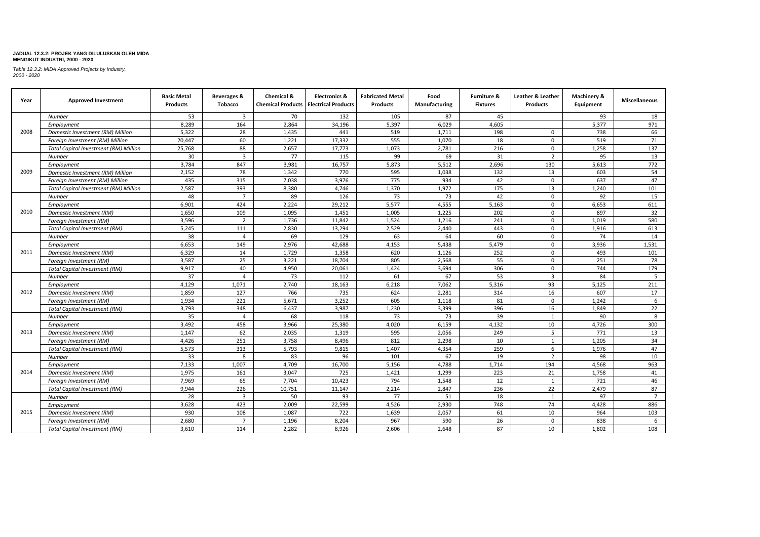| Year                                         | <b>Approved Investment</b>                   | <b>Basic Metal</b><br><b>Products</b> | Beverages &<br><b>Tobacco</b> | Chemical & | <b>Electronics &amp;</b><br><b>Chemical Products   Electrical Products</b> | <b>Fabricated Metal</b><br><b>Products</b> | Food<br>Manufacturing | <b>Furniture &amp;</b><br><b>Fixtures</b> | Leather & Leather<br><b>Products</b> | Machinery &<br>Equipment | <b>Miscellaneous</b> |
|----------------------------------------------|----------------------------------------------|---------------------------------------|-------------------------------|------------|----------------------------------------------------------------------------|--------------------------------------------|-----------------------|-------------------------------------------|--------------------------------------|--------------------------|----------------------|
|                                              | Number                                       | 53                                    | $\overline{3}$                | 70         | 132                                                                        | 105                                        | 87                    | 45                                        |                                      | 93                       | 18                   |
|                                              | Employment                                   | 8,289                                 | 164                           | 2,864      | 34,196                                                                     | 5,397                                      | 6,029                 | 4,605                                     |                                      | 5,377                    | 971                  |
| 2008                                         | Domestic Investment (RM) Million             | 5,322                                 | 28                            | 1,435      | 441                                                                        | 519                                        | 1,711                 | 198                                       | $\Omega$                             | 738                      | 66                   |
|                                              | Foreign Investment (RM) Million              | 20,447                                | 60                            | 1,221      | 17,332                                                                     | 555                                        | 1,070                 | 18                                        | $\Omega$                             | 519                      | 71                   |
|                                              | <b>Total Capital Investment (RM) Million</b> | 25,768                                | 88                            | 2,657      | 17,773                                                                     | 1,073                                      | 2,781                 | 216                                       | 0                                    | 1,258                    | 137                  |
|                                              | Number                                       | 30                                    | $\overline{3}$                | 77         | 115                                                                        | 99                                         | 69                    | 31                                        | $\overline{2}$                       | 95                       | 13                   |
|                                              | Employment                                   | 3,784                                 | 847                           | 3,981      | 16,757                                                                     | 5,873                                      | 5,512                 | 2,696                                     | 130                                  | 5,613                    | 772                  |
| 2009                                         | Domestic Investment (RM) Million             | 2,152                                 | 78                            | 1,342      | 770                                                                        | 595                                        | 1,038                 | 132                                       | 13                                   | 603                      | 54                   |
|                                              | Foreign Investment (RM) Million              | 435                                   | 315                           | 7,038      | 3,976                                                                      | 775                                        | 934                   | 42                                        | $\Omega$                             | 637                      | 47                   |
| 2010<br>2011<br>2012<br>2013<br>2014<br>2015 | <b>Total Capital Investment (RM) Million</b> | 2,587                                 | 393                           | 8,380      | 4,746                                                                      | 1,370                                      | 1,972                 | 175                                       | 13                                   | 1,240                    | 101                  |
|                                              | Number                                       | 48                                    | $\overline{7}$                | 89         | 126                                                                        | 73                                         | 73                    | 42                                        | $\Omega$                             | 92                       | 15                   |
|                                              | Employment                                   | 6,901                                 | 424                           | 2,224      | 29,212                                                                     | 5,577                                      | 4,555                 | 5,163                                     | $\Omega$                             | 6,653                    | 611                  |
|                                              | Domestic Investment (RM)                     | 1,650                                 | 109                           | 1,095      | 1,451                                                                      | 1,005                                      | 1,225                 | 202                                       | $\Omega$                             | 897                      | 32                   |
|                                              | Foreign Investment (RM)                      | 3,596                                 | $\overline{2}$                | 1,736      | 11,842                                                                     | 1,524                                      | 1,216                 | 241                                       | $\Omega$                             | 1,019                    | 580                  |
|                                              | Total Capital Investment (RM)                | 5,245                                 | 111                           | 2,830      | 13,294                                                                     | 2,529                                      | 2,440                 | 443                                       | 0                                    | 1,916                    | 613                  |
|                                              | Number                                       | 38                                    | $\overline{a}$                | 69         | 129                                                                        | 63                                         | 64                    | 60                                        | $\Omega$                             | 74                       | 14                   |
|                                              | Employment                                   | 6,653                                 | 149                           | 2,976      | 42,688                                                                     | 4,153                                      | 5,438                 | 5,479                                     | $\Omega$                             | 3,936                    | 1,531                |
|                                              | Domestic Investment (RM)                     | 6,329                                 | 14                            | 1,729      | 1,358                                                                      | 620                                        | 1,126                 | 252                                       | $\Omega$                             | 493                      | 101                  |
|                                              | Foreign Investment (RM)                      | 3,587                                 | 25                            | 3,221      | 18,704                                                                     | 805                                        | 2,568                 | 55                                        | 0                                    | 251                      | 78                   |
|                                              | <b>Total Capital Investment (RM)</b>         | 9.917                                 | 40                            | 4,950      | 20,061                                                                     | 1,424                                      | 3,694                 | 306                                       | $\Omega$                             | 744                      | 179                  |
|                                              | Number                                       | 37                                    | $\overline{a}$                | 73         | 112                                                                        | 61                                         | 67                    | 53                                        | $\overline{3}$                       | 84                       | 5                    |
|                                              | Employment                                   | 4,129                                 | 1,071                         | 2,740      | 18,163                                                                     | 6,218                                      | 7,062                 | 5,316                                     | 93                                   | 5,125                    | 211                  |
|                                              | Domestic Investment (RM)                     | 1,859                                 | 127                           | 766        | 735                                                                        | 624                                        | 2,281                 | 314                                       | 16                                   | 607                      | 17                   |
|                                              | Foreign Investment (RM)                      | 1,934                                 | 221                           | 5,671      | 3,252                                                                      | 605                                        | 1,118                 | 81                                        | $\mathbf 0$                          | 1,242                    | 6                    |
|                                              | <b>Total Capital Investment (RM)</b>         | 3,793                                 | 348                           | 6,437      | 3,987                                                                      | 1,230                                      | 3,399                 | 396                                       | 16                                   | 1,849                    | 22                   |
|                                              | Number                                       | 35                                    | $\overline{a}$                | 68         | 118                                                                        | 73                                         | 73                    | 39                                        | 1                                    | 90                       | 8                    |
|                                              | Employment                                   | 3,492                                 | 458                           | 3,966      | 25,380                                                                     | 4,020                                      | 6,159                 | 4,132                                     | 10                                   | 4,726                    | 300                  |
|                                              | Domestic Investment (RM)                     | 1,147                                 | 62                            | 2,035      | 1,319                                                                      | 595                                        | 2,056                 | 249                                       | 5                                    | 771                      | 13                   |
|                                              | Foreign Investment (RM)                      | 4,426                                 | 251                           | 3,758      | 8,496                                                                      | 812                                        | 2,298                 | 10                                        | $\mathbf{1}$                         | 1,205                    | 34                   |
|                                              | <b>Total Capital Investment (RM)</b>         | 5,573                                 | 313                           | 5,793      | 9,815                                                                      | 1,407                                      | 4,354                 | 259                                       | 6                                    | 1,976                    | 47                   |
|                                              | Number                                       | 33                                    | 8                             | 83         | 96                                                                         | 101                                        | 67                    | 19                                        | $\overline{2}$                       | 98                       | 10                   |
|                                              | Employment                                   | 7,133                                 | 1,007                         | 4,709      | 16,700                                                                     | 5,156                                      | 4,788                 | 1,714                                     | 194                                  | 4,568                    | 963                  |
|                                              | Domestic Investment (RM)                     | 1,975                                 | 161                           | 3,047      | 725                                                                        | 1,421                                      | 1,299                 | 223                                       | 21                                   | 1,758                    | 41                   |
|                                              | Foreign Investment (RM)                      | 7,969                                 | 65                            | 7,704      | 10,423                                                                     | 794                                        | 1,548                 | 12                                        | 1                                    | 721                      | 46                   |
|                                              | <b>Total Capital Investment (RM)</b>         | 9.944                                 | 226                           | 10,751     | 11,147                                                                     | 2,214                                      | 2,847                 | 236                                       | 22                                   | 2,479                    | 87                   |
|                                              | Number                                       | 28                                    | $\overline{\mathbf{3}}$       | 50         | 93                                                                         | 77                                         | 51                    | 18                                        | $\mathbf{1}$                         | 97                       | $\overline{7}$       |
|                                              | Employment                                   | 3,628                                 | 423                           | 2,009      | 22,599                                                                     | 4,526                                      | 2,930                 | 748                                       | 74                                   | 4,428                    | 886                  |
|                                              | Domestic Investment (RM)                     | 930                                   | 108                           | 1,087      | 722                                                                        | 1,639                                      | 2,057                 | 61                                        | 10                                   | 964                      | 103                  |
|                                              | Foreign Investment (RM)                      | 2,680                                 | $\overline{7}$                | 1,196      | 8,204                                                                      | 967                                        | 590                   | 26                                        | $\mathbf 0$                          | 838                      | 6                    |
|                                              | <b>Total Capital Investment (RM)</b>         | 3.610                                 | 114                           | 2,282      | 8.926                                                                      | 2.606                                      | 2.648                 | 87                                        | 10                                   | 1.802                    | 108                  |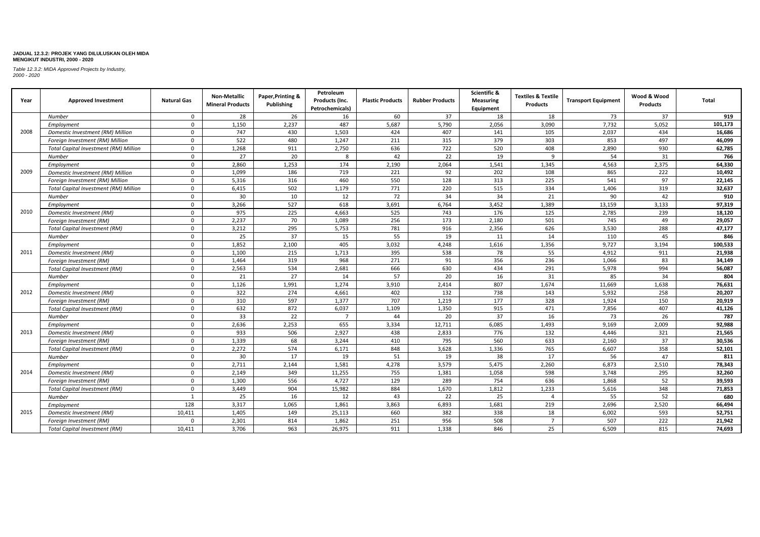| Year | <b>Approved Investment</b>                   | <b>Natural Gas</b> | <b>Non-Metallic</b><br><b>Mineral Products</b> | Paper, Printing &<br>Publishing | Petroleum<br>Products (Inc.<br>Petrochemicals) | <b>Plastic Products</b> | <b>Rubber Products</b> | Scientific &<br><b>Measuring</b><br>Equipment | <b>Textiles &amp; Textile</b><br><b>Products</b> | <b>Transport Equipment</b> | Wood & Wood<br><b>Products</b> | <b>Total</b> |
|------|----------------------------------------------|--------------------|------------------------------------------------|---------------------------------|------------------------------------------------|-------------------------|------------------------|-----------------------------------------------|--------------------------------------------------|----------------------------|--------------------------------|--------------|
|      | Number                                       | $\Omega$           | 28                                             | 26                              | 16                                             | 60                      | 37                     | 18                                            | 18                                               | 73                         | 37                             | 919          |
|      | Employment                                   | $\mathbf 0$        | 1,150                                          | 2,237                           | 487                                            | 5,687                   | 5,790                  | 2,056                                         | 3,090                                            | 7,732                      | 5,052                          | 101,173      |
| 2008 | Domestic Investment (RM) Million             | $\mathbf 0$        | 747                                            | 430                             | 1,503                                          | 424                     | 407                    | 141                                           | 105                                              | 2,037                      | 434                            | 16,686       |
|      | Foreign Investment (RM) Million              | $\mathbf 0$        | 522                                            | 480                             | 1,247                                          | 211                     | 315                    | 379                                           | 303                                              | 853                        | 497                            | 46,099       |
|      | <b>Total Capital Investment (RM) Million</b> | $\mathbf 0$        | 1,268                                          | 911                             | 2,750                                          | 636                     | 722                    | 520                                           | 408                                              | 2,890                      | 930                            | 62,785       |
|      | <b>Number</b>                                | $\mathbf 0$        | 27                                             | 20                              | 8                                              | 42                      | 22                     | 19                                            | 9                                                | 54                         | 31                             | 766          |
|      | Employment                                   | $\mathbf 0$        | 2,860                                          | 1,253                           | 174                                            | 2,190                   | 2,064                  | 1,541                                         | 1,345                                            | 4,563                      | 2,375                          | 64,330       |
| 2009 | Domestic Investment (RM) Million             | $\mathbf 0$        | 1,099                                          | 186                             | 719                                            | 221                     | 92                     | 202                                           | 108                                              | 865                        | 222                            | 10,492       |
|      | Foreign Investment (RM) Million              | $\mathbf 0$        | 5,316                                          | 316                             | 460                                            | 550                     | 128                    | 313                                           | 225                                              | 541                        | 97                             | 22,145       |
|      | <b>Total Capital Investment (RM) Million</b> | $\mathbf 0$        | 6,415                                          | 502                             | 1,179                                          | 771                     | 220                    | 515                                           | 334                                              | 1,406                      | 319                            | 32,637       |
|      | Number                                       | $\mathbf 0$        | 30                                             | 10                              | 12                                             | 72                      | 34                     | 34                                            | 21                                               | 90                         | 42                             | 910          |
|      | Employment                                   | $\mathbf{0}$       | 3,266                                          | 527                             | 618                                            | 3,691                   | 6,764                  | 3,452                                         | 1,389                                            | 13,159                     | 3,133                          | 97,319       |
| 2010 | Domestic Investment (RM)                     | $\mathbf 0$        | 975                                            | 225                             | 4,663                                          | 525                     | 743                    | 176                                           | 125                                              | 2,785                      | 239                            | 18,120       |
|      | Foreign Investment (RM)                      | $\mathbf 0$        | 2,237                                          | 70                              | 1,089                                          | 256                     | 173                    | 2,180                                         | 501                                              | 745                        | 49                             | 29,057       |
|      | <b>Total Capital Investment (RM)</b>         | $\mathbf 0$        | 3,212                                          | 295                             | 5,753                                          | 781                     | 916                    | 2,356                                         | 626                                              | 3,530                      | 288                            | 47,177       |
|      | Number                                       | $\mathbf{0}$       | 25                                             | 37                              | 15                                             | 55                      | 19                     | 11                                            | 14                                               | 110                        | 45                             | 846          |
|      | Employment                                   | $\mathbf 0$        | 1,852                                          | 2,100                           | 405                                            | 3,032                   | 4,248                  | 1,616                                         | 1,356                                            | 9,727                      | 3,194                          | 100,533      |
| 2011 | Domestic Investment (RM)                     | $\mathbf 0$        | 1,100                                          | 215                             | 1,713                                          | 395                     | 538                    | 78                                            | 55                                               | 4,912                      | 911                            | 21,938       |
|      | Foreign Investment (RM)                      | $\mathbf 0$        | 1,464                                          | 319                             | 968                                            | 271                     | 91                     | 356                                           | 236                                              | 1,066                      | 83                             | 34,149       |
|      | <b>Total Capital Investment (RM)</b>         | $\mathbf{0}$       | 2,563                                          | 534                             | 2,681                                          | 666                     | 630                    | 434                                           | 291                                              | 5,978                      | 994                            | 56,087       |
|      | <b>Number</b>                                | $\mathbf 0$        | 21                                             | 27                              | 14                                             | 57                      | 20                     | 16                                            | 31                                               | 85                         | 34                             | 804          |
|      | Employment                                   | $\mathbf 0$        | 1,126                                          | 1,991                           | 1,274                                          | 3,910                   | 2,414                  | 807                                           | 1,674                                            | 11,669                     | 1,638                          | 76,631       |
| 2012 | Domestic Investment (RM)                     | $\mathbf 0$        | 322                                            | 274                             | 4,661                                          | 402                     | 132                    | 738                                           | 143                                              | 5,932                      | 258                            | 20,207       |
|      | Foreign Investment (RM)                      | $\mathbf 0$        | 310                                            | 597                             | 1,377                                          | 707                     | 1,219                  | 177                                           | 328                                              | 1,924                      | 150                            | 20,919       |
|      | <b>Total Capital Investment (RM)</b>         | $\mathbf 0$        | 632                                            | 872                             | 6,037                                          | 1,109                   | 1,350                  | 915                                           | 471                                              | 7,856                      | 407                            | 41,126       |
|      | Number                                       | $\mathbf 0$        | 33                                             | 22                              | $\overline{7}$                                 | 44                      | 20                     | 37                                            | 16                                               | 73                         | 26                             | 787          |
|      | Employment                                   | $\mathbf 0$        | 2,636                                          | 2,253                           | 655                                            | 3,334                   | 12,711                 | 6,085                                         | 1,493                                            | 9,169                      | 2,009                          | 92,988       |
| 2013 | Domestic Investment (RM)                     | $\mathbf{0}$       | 933                                            | 506                             | 2,927                                          | 438                     | 2,833                  | 776                                           | 132                                              | 4,446                      | 321                            | 21,565       |
|      | Foreign Investment (RM)                      | $\mathbf 0$        | 1,339                                          | 68                              | 3,244                                          | 410                     | 795                    | 560                                           | 633                                              | 2,160                      | 37                             | 30,536       |
|      | Total Capital Investment (RM)                | $\mathbf{0}$       | 2.272                                          | 574                             | 6,171                                          | 848                     | 3,628                  | 1,336                                         | 765                                              | 6,607                      | 358                            | 52,101       |
|      | Number                                       | $\mathbf 0$        | 30                                             | 17                              | 19                                             | 51                      | 19                     | 38                                            | 17                                               | 56                         | 47                             | 811          |
|      | Employment                                   | $\mathbf{0}$       | 2.711                                          | 2.144                           | 1.581                                          | 4.278                   | 3,579                  | 5,475                                         | 2.260                                            | 6.873                      | 2,510                          | 78,343       |
| 2014 | Domestic Investment (RM)                     | $\mathbf 0$        | 2.149                                          | 349                             | 11,255                                         | 755                     | 1,381                  | 1,058                                         | 598                                              | 3,748                      | 295                            | 32,260       |
|      | Foreign Investment (RM)                      | $\mathbf 0$        | 1,300                                          | 556                             | 4,727                                          | 129                     | 289                    | 754                                           | 636                                              | 1,868                      | 52                             | 39,593       |
|      | <b>Total Capital Investment (RM)</b>         | $\mathbf 0$        | 3,449                                          | 904                             | 15,982                                         | 884                     | 1,670                  | 1,812                                         | 1,233                                            | 5,616                      | 348                            | 71,853       |
|      | Number                                       | 1                  | 25                                             | 16                              | 12                                             | 43                      | 22                     | 25                                            | $\overline{a}$                                   | 55                         | 52                             | 680          |
|      | Employment                                   | 128                | 3,317                                          | 1,065                           | 1,861                                          | 3,863                   | 6,893                  | 1,681                                         | 219                                              | 2,696                      | 2,520                          | 66,494       |
| 2015 | Domestic Investment (RM)                     | 10,411             | 1,405                                          | 149                             | 25,113                                         | 660                     | 382                    | 338                                           | 18                                               | 6,002                      | 593                            | 52,751       |
|      | Foreign Investment (RM)                      | $\mathbf{0}$       | 2,301                                          | 814                             | 1,862                                          | 251                     | 956                    | 508                                           | $\overline{7}$                                   | 507                        | 222                            | 21,942       |
|      | Total Capital Investment (RM)                | 10.411             | 3.706                                          | 963                             | 26.975                                         | 911                     | 1.338                  | 846                                           | 25                                               | 6.509                      | 815                            | 74,693       |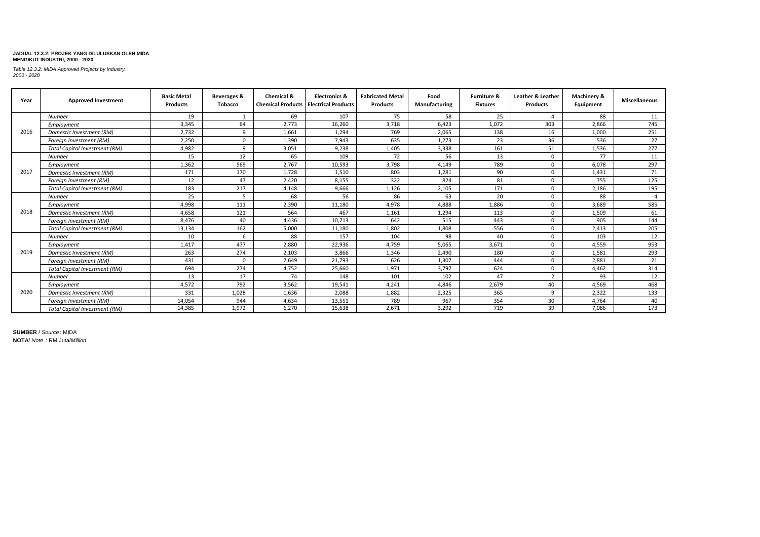*Table 12.3.2: MIDA Approved Projects by Industry, 2000 - 2020*

| Year | <b>Approved Investment</b>           | <b>Basic Metal</b><br><b>Products</b> | Beverages &<br><b>Tobacco</b> | Chemical &<br><b>Chemical Products   Electrical Products</b> | <b>Electronics &amp;</b> | <b>Fabricated Metal</b><br><b>Products</b> | Food<br>Manufacturing | <b>Furniture &amp;</b><br><b>Fixtures</b> | Leather & Leather<br><b>Products</b> | Machinery &<br>Equipment | Miscellaneous  |
|------|--------------------------------------|---------------------------------------|-------------------------------|--------------------------------------------------------------|--------------------------|--------------------------------------------|-----------------------|-------------------------------------------|--------------------------------------|--------------------------|----------------|
|      | <b>Number</b>                        | 19                                    |                               | 69                                                           | 107                      | 75                                         | 58                    | 25                                        | $\Delta$                             | 88                       | 11             |
|      | Employment                           | 3,345                                 | 64                            | 2.773                                                        | 16,260                   | 3,718                                      | 6,423                 | 1,072                                     | 303                                  | 2,866                    | 745            |
| 2016 | Domestic Investment (RM)             | 2,732                                 | 9                             | 1.661                                                        | 1.294                    | 769                                        | 2,065                 | 138                                       | 16                                   | 1,000                    | 251            |
|      | Foreign Investment (RM)              | 2,250                                 | 0                             | 1,390                                                        | 7,943                    | 635                                        | 1,273                 | 23                                        | 36                                   | 536                      | 27             |
|      | <b>Total Capital Investment (RM)</b> | 4,982                                 | 9                             | 3,051                                                        | 9,238                    | 1,405                                      | 3,338                 | 161                                       | 51                                   | 1,536                    | 277            |
|      | <b>Number</b>                        | 15                                    | 12                            | 65                                                           | 109                      | 72                                         | 56                    | 13                                        | $\Omega$                             | 77                       | 11             |
|      | Employment                           | 1,362                                 | 569                           | 2,767                                                        | 10,593                   | 3,798                                      | 4.149                 | 789                                       |                                      | 6,078                    | 297            |
| 2017 | Domestic Investment (RM)             | 171                                   | 170                           | 1,728                                                        | 1,510                    | 803                                        | 1,281                 | 90                                        | $\Omega$                             | 1,431                    | 71             |
|      | Foreign Investment (RM)              | 12                                    | 47                            | 2.420                                                        | 8,155                    | 322                                        | 824                   | 81                                        | $\Omega$                             | 755                      | 125            |
|      | <b>Total Capital Investment (RM)</b> | 183                                   | 217                           | 4,148                                                        | 9,666                    | 1,126                                      | 2,105                 | 171                                       |                                      | 2,186                    | 195            |
|      | <b>Number</b>                        | 25                                    |                               | 68                                                           | 56                       | 86                                         | 63                    | 20                                        | $\Omega$                             | 88                       | $\overline{a}$ |
|      | Employment                           | 4,998                                 | 111                           | 2,390                                                        | 11,180                   | 4,978                                      | 4,888                 | 1,886                                     | $\Omega$                             | 3,689                    | 585            |
| 2018 | Domestic Investment (RM)             | 4.658                                 | 121                           | 564                                                          | 467                      | 1,161                                      | 1,294                 | 113                                       |                                      | 1,509                    | 61             |
|      | Foreign Investment (RM)              | 8.476                                 | 40                            | 4.436                                                        | 10,713                   | 642                                        | 515                   | 443                                       | $\Omega$                             | 905                      | 144            |
|      | <b>Total Capital Investment (RM)</b> | 13,134                                | 162                           | 5,000                                                        | 11,180                   | 1,802                                      | 1,808                 | 556                                       | $\Omega$                             | 2,413                    | 205            |
|      | Number                               | 10                                    | 6                             | 88                                                           | 157                      | 104                                        | 98                    | 40                                        | $\Omega$                             | 103                      | 12             |
|      | Employment                           | 1.417                                 | 477                           | 2,880                                                        | 22,936                   | 4,759                                      | 5,065                 | 3.671                                     | $\Omega$                             | 4,559                    | 953            |
| 2019 | Domestic Investment (RM)             | 263                                   | 274                           | 2,103                                                        | 3,866                    | 1,346                                      | 2,490                 | 180                                       | $\Omega$                             | 1,581                    | 293            |
|      | Foreign Investment (RM)              | 431                                   | $\mathbf 0$                   | 2,649                                                        | 21,793                   | 626                                        | 1,307                 | 444                                       | $\Omega$                             | 2,881                    | 21             |
|      | <b>Total Capital Investment (RM)</b> | 694                                   | 274                           | 4,752                                                        | 25.660                   | 1.971                                      | 3,797                 | 624                                       | $\Omega$                             | 4.462                    | 314            |
|      | <b>Number</b>                        | 13                                    | 17                            | 74                                                           | 148                      | 101                                        | 102                   | 47                                        | $\mathbf{\overline{a}}$              | 93                       | 12             |
|      | Employment                           | 4,572                                 | 792                           | 3,562                                                        | 19,541                   | 4,241                                      | 4,846                 | 2,679                                     | 40                                   | 4,569                    | 468            |
| 2020 | Domestic Investment (RM)             | 331                                   | 1.028                         | 1,636                                                        | 2,088                    | 1,882                                      | 2,325                 | 365                                       | q                                    | 2,322                    | 133            |
|      | Foreign Investment (RM)              | 14,054                                | 944                           | 4,634                                                        | 13,551                   | 789                                        | 967                   | 354                                       | 30                                   | 4,764                    | 40             |
|      | <b>Total Capital Investment (RM)</b> | 14,385                                | 1,972                         | 6,270                                                        | 15,638                   | 2,671                                      | 3,292                 | 719                                       | 39                                   | 7,086                    | 173            |

**SUMBER** / *Source* : MIDA **NOTA**/ *Note* : RM Juta/*Million*